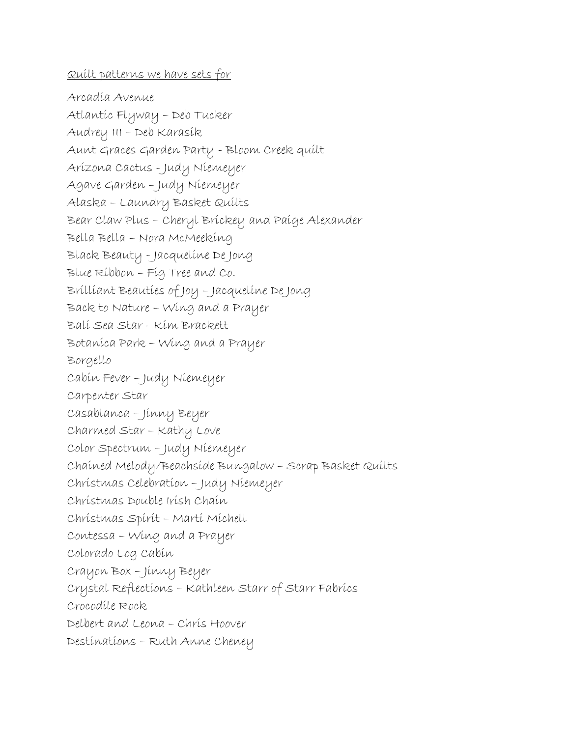## Quilt patterns we have sets for

Arcadia Avenue Atlantic Flyway – Deb Tucker Audrey III – Deb Karasik Aunt Graces Garden Party - Bloom Creek quilt Arizona Cactus - Judy Niemeyer Agave Garden – Judy Niemeyer Alaska – Laundry Basket Quilts Bear Claw Plus – Cheryl Brickey and Paige Alexander Bella Bella – Nora McMeeking Black Beauty - Jacqueline De Jong Blue Ribbon – Fig Tree and Co. Brilliant Beauties of Joy – Jacqueline De Jong Back to Nature – Wing and a Prayer Bali Sea Star - Kim Brackett Botanica Park – Wing and a Prayer Borgello Cabin Fever – Judy Niemeyer Carpenter Star Casablanca – Jinny Beyer Charmed Star – Kathy Love Color Spectrum – Judy Niemeyer Chained Melody/Beachside Bungalow – Scrap Basket Quilts Christmas Celebration – Judy Niemeyer Christmas Double Irish Chain Christmas Spirit – Marti Michell Contessa – Wing and a Prayer Colorado Log Cabin Crayon Box – Jinny Beyer Crystal Reflections – Kathleen Starr of Starr Fabrics Crocodile Rock Delbert and Leona – Chris Hoover Destinations – Ruth Anne Cheney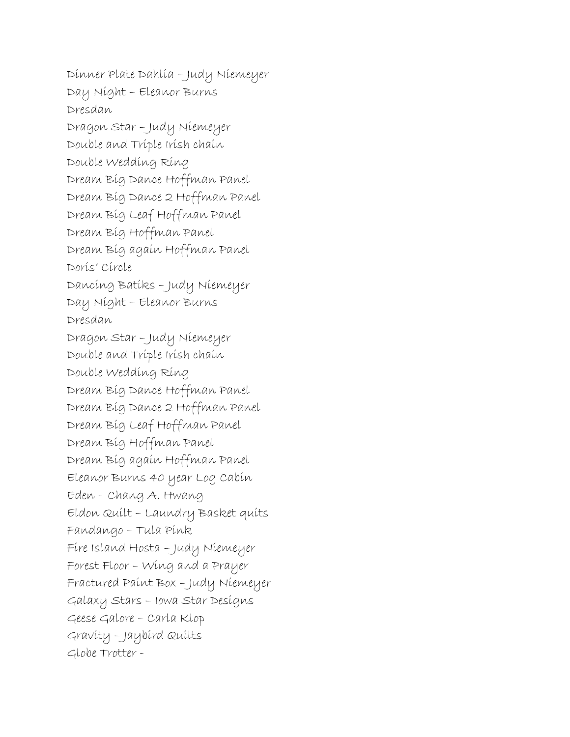Dinner Plate Dahlia – Judy Niemeyer Day Night – Eleanor Burns Dresdan Dragon Star – Judy Niemeyer Double and Triple Irish chain Double Wedding Ring Dream Big Dance Hoffman Panel Dream Big Dance 2 Hoffman Panel Dream Big Leaf Hoffman Panel Dream Big Hoffman Panel Dream Big again Hoffman Panel Doris' Circle Dancing Batiks – Judy Niemeyer Day Night – Eleanor Burns Dresdan Dragon Star – Judy Niemeyer Double and Triple Irish chain Double Wedding Ring Dream Big Dance Hoffman Panel Dream Big Dance 2 Hoffman Panel Dream Big Leaf Hoffman Panel Dream Big Hoffman Panel Dream Big again Hoffman Panel Eleanor Burns 40 year Log Cabin Eden – Chang A. Hwang Eldon Quilt – Laundry Basket quits Fandango – Tula Pink Fire Island Hosta – Judy Niemeyer Forest Floor – Wing and a Prayer Fractured Paint Box – Judy Niemeyer Galaxy Stars – Iowa Star Designs Geese Galore – Carla Klop Gravity – Jaybird Quilts Globe Trotter -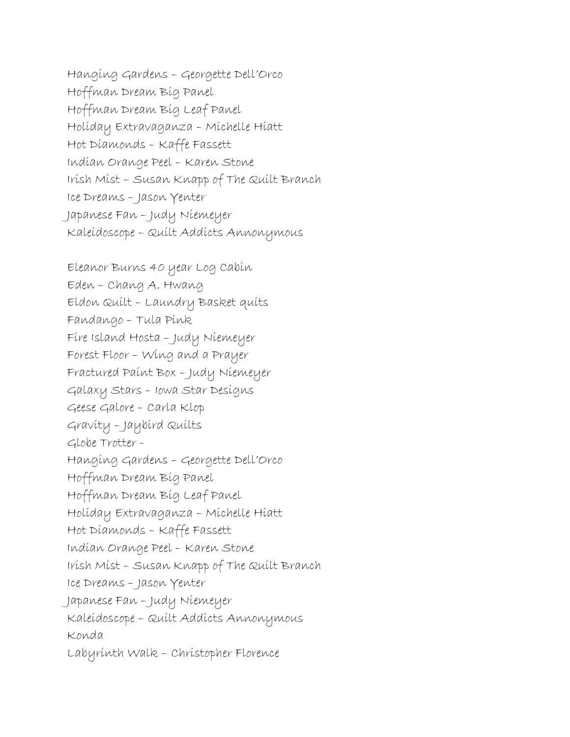Hanging Gardens – Georgette Dell'Orco Hoffman Dream Big Panel Hoffman Dream Big Leaf Panel Holiday Extravaganza – Michelle Hiatt Hot Diamonds – Kaffe Fassett Indian Orange Peel – Karen Stone Irish Mist – Susan Knapp of The Quilt Branch Ice Dreams – Jason Yenter Japanese Fan – Judy Niemeyer Kaleidoscope – Quilt Addicts Annonymous

Eleanor Burns 40 year Log Cabin Eden – Chang A. Hwang Eldon Quilt – Laundry Basket quits Fandango – Tula Pink Fire Island Hosta – Judy Niemeyer Forest Floor – Wing and a Prayer Fractured Paint Box – Judy Niemeyer Galaxy Stars – Iowa Star Designs Geese Galore – Carla Klop Gravity – Jaybird Quilts Globe Trotter - Hanging Gardens – Georgette Dell'Orco Hoffman Dream Big Panel Hoffman Dream Big Leaf Panel Holiday Extravaganza – Michelle Hiatt Hot Diamonds – Kaffe Fassett Indian Orange Peel – Karen Stone Irish Mist – Susan Knapp of The Quilt Branch Ice Dreams – Jason Yenter Japanese Fan – Judy Niemeyer Kaleidoscope – Quilt Addicts Annonymous Konda Labyrinth Walk – Christopher Florence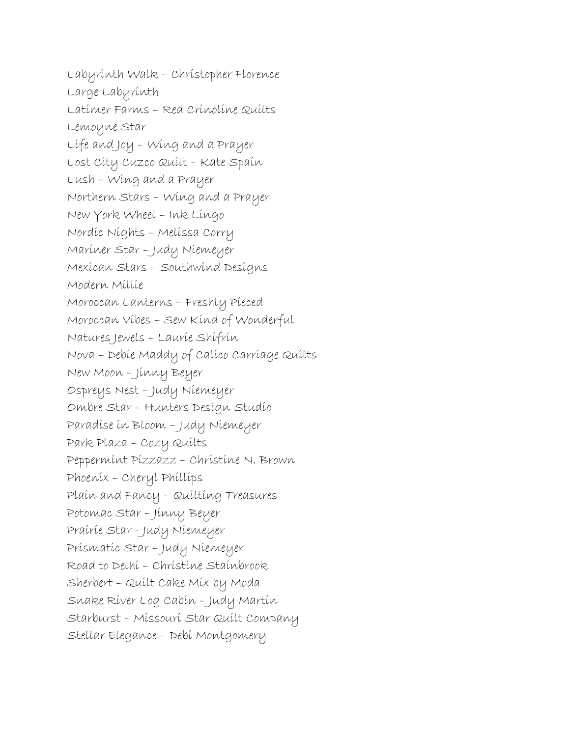Labyrinth Walk – Christopher Florence Large Labyrinth Latimer Farms – Red Crinoline Quilts Lemoyne Star Life and Joy – Wing and a Prayer Lost City Cuzco Quilt – Kate Spain Lush – Wing and a Prayer Northern Stars – Wing and a Prayer New York Wheel – Ink Lingo Nordic Nights – Melissa Corry Mariner Star – Judy Niemeyer Mexican Stars – Southwind Designs Modern Millie Moroccan Lanterns – Freshly Pieced Moroccan Vibes – Sew Kind of Wonderful Natures Jewels – Laurie Shifrin Nova – Debie Maddy of Calico Carriage Quilts New Moon – Jinny Beyer Ospreys Nest – Judy Niemeyer Ombre Star – Hunters Design Studio Paradise in Bloom – Judy Niemeyer Park Plaza – Cozy Quilts Peppermint Pizzazz – Christine N. Brown Phoenix – Cheryl Phillips Plain and Fancy – Quilting Treasures Potomac Star – Jinny Beyer Prairie Star - Judy Niemeyer Prismatic Star – Judy Niemeyer Road to Delhi – Christine Stainbrook Sherbert – Quilt Cake Mix by Moda Snake River Log Cabin – Judy Martin Starburst – Missouri Star Quilt Company Stellar Elegance – Debi Montgomery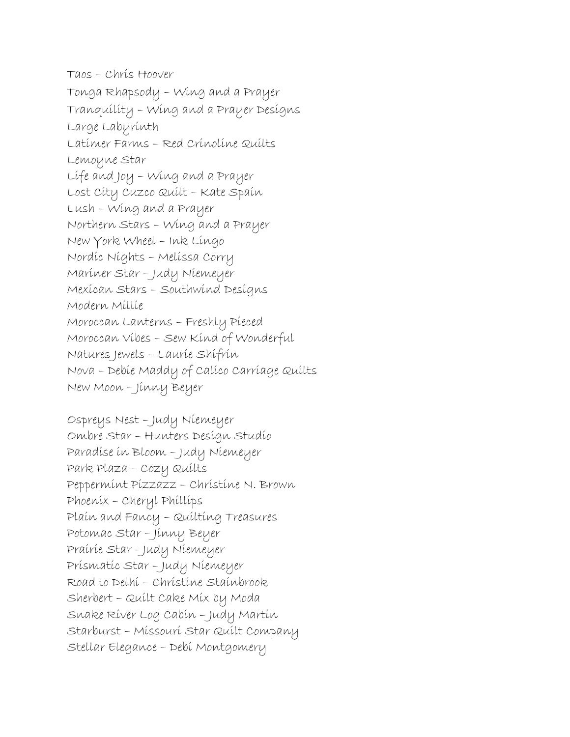Taos – Chris Hoover Tonga Rhapsody – Wing and a Prayer Tranquility – Wing and a Prayer Designs Large Labyrinth Latimer Farms – Red Crinoline Quilts Lemoyne Star Life and Joy – Wing and a Prayer Lost City Cuzco Quilt – Kate Spain Lush – Wing and a Prayer Northern Stars – Wing and a Prayer New York Wheel – Ink Lingo Nordic Nights – Melissa Corry Mariner Star – Judy Niemeyer Mexican Stars – Southwind Designs Modern Millie Moroccan Lanterns – Freshly Pieced Moroccan Vibes – Sew Kind of Wonderful Natures Jewels – Laurie Shifrin Nova – Debie Maddy of Calico Carriage Quilts New Moon – Jinny Beyer

Ospreys Nest – Judy Niemeyer Ombre Star – Hunters Design Studio Paradise in Bloom – Judy Niemeyer Park Plaza – Cozy Quilts Peppermint Pizzazz – Christine N. Brown Phoenix – Cheryl Phillips Plain and Fancy – Quilting Treasures Potomac Star – Jinny Beyer Prairie Star - Judy Niemeyer Prismatic Star – Judy Niemeyer Road to Delhi – Christine Stainbrook Sherbert – Quilt Cake Mix by Moda Snake River Log Cabin – Judy Martin Starburst – Missouri Star Quilt Company Stellar Elegance – Debi Montgomery